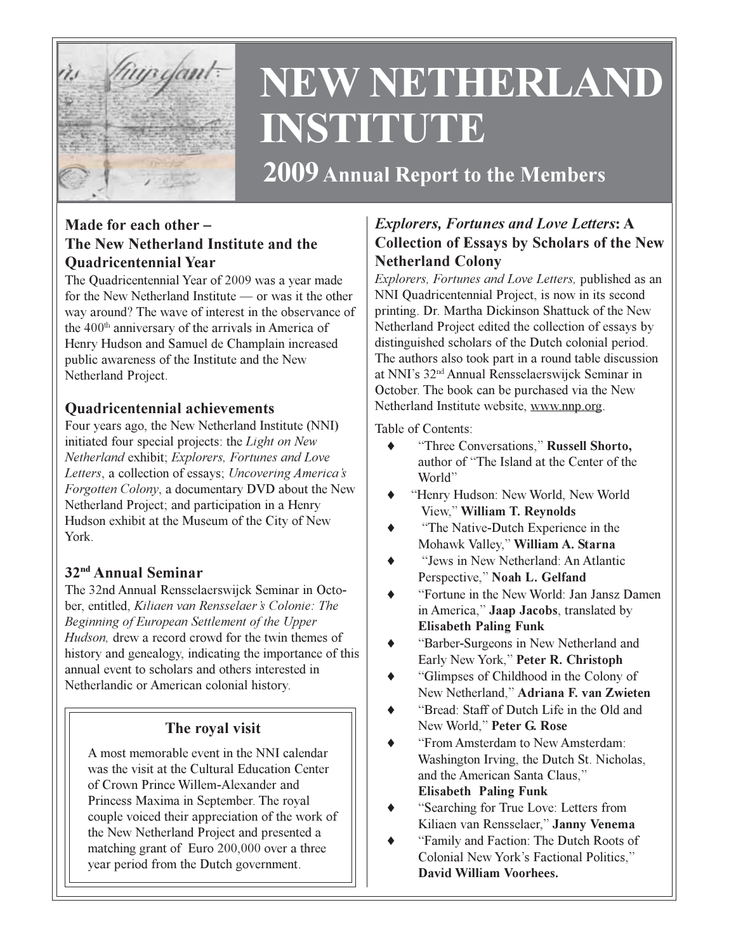

# NEW NETHERLAND INSTITUTE

2009 Annual Report to the Members

#### Made for each other – The New Netherland Institute and the Quadricentennial Year

The Quadricentennial Year of 2009 was a year made for the New Netherland Institute — or was it the other way around? The wave of interest in the observance of the  $400<sup>th</sup>$  anniversary of the arrivals in America of Henry Hudson and Samuel de Champlain increased public awareness of the Institute and the New Netherland Project.

#### Quadricentennial achievements

Four years ago, the New Netherland Institute (NNI) initiated four special projects: the Light on New Netherland exhibit; Explorers, Fortunes and Love Letters, a collection of essays; Uncovering America's Forgotten Colony, a documentary DVD about the New Netherland Project; and participation in a Henry Hudson exhibit at the Museum of the City of New York.

### 32nd Annual Seminar

The 32nd Annual Rensselaerswijck Seminar in October, entitled, Kiliaen van Rensselaer's Colonie: The Beginning of European Settlement of the Upper Hudson, drew a record crowd for the twin themes of history and genealogy, indicating the importance of this annual event to scholars and others interested in Netherlandic or American colonial history.

### The royal visit

A most memorable event in the NNI calendar was the visit at the Cultural Education Center of Crown Prince Willem-Alexander and Princess Maxima in September. The royal couple voiced their appreciation of the work of the New Netherland Project and presented a matching grant of Euro 200,000 over a three year period from the Dutch government.

### Explorers, Fortunes and Love Letters: A Collection of Essays by Scholars of the New Netherland Colony

Explorers, Fortunes and Love Letters, published as an NNI Quadricentennial Project, is now in its second printing. Dr. Martha Dickinson Shattuck of the New Netherland Project edited the collection of essays by distinguished scholars of the Dutch colonial period. The authors also took part in a round table discussion at NNI's 32nd Annual Rensselaerswijck Seminar in October. The book can be purchased via the New Netherland Institute website, www.nnp.org.

Table of Contents:

- ♦ "Three Conversations," Russell Shorto, author of "The Island at the Center of the World"
- "Henry Hudson: New World, New World View," William T. Reynolds
- ♦ "The Native-Dutch Experience in the Mohawk Valley," William A. Starna
- "Jews in New Netherland: An Atlantic Perspective," Noah L. Gelfand
- ♦ "Fortune in the New World: Jan Jansz Damen in America," Jaap Jacobs, translated by Elisabeth Paling Funk
- "Barber-Surgeons in New Netherland and Early New York," Peter R. Christoph
- ♦ "Glimpses of Childhood in the Colony of New Netherland," Adriana F. van Zwieten
- "Bread: Staff of Dutch Life in the Old and New World," Peter G. Rose
- "From Amsterdam to New Amsterdam" Washington Irving, the Dutch St. Nicholas, and the American Santa Claus," Elisabeth Paling Funk
- "Searching for True Love: Letters from Kiliaen van Rensselaer," Janny Venema
- "Family and Faction: The Dutch Roots of Colonial New York's Factional Politics," David William Voorhees.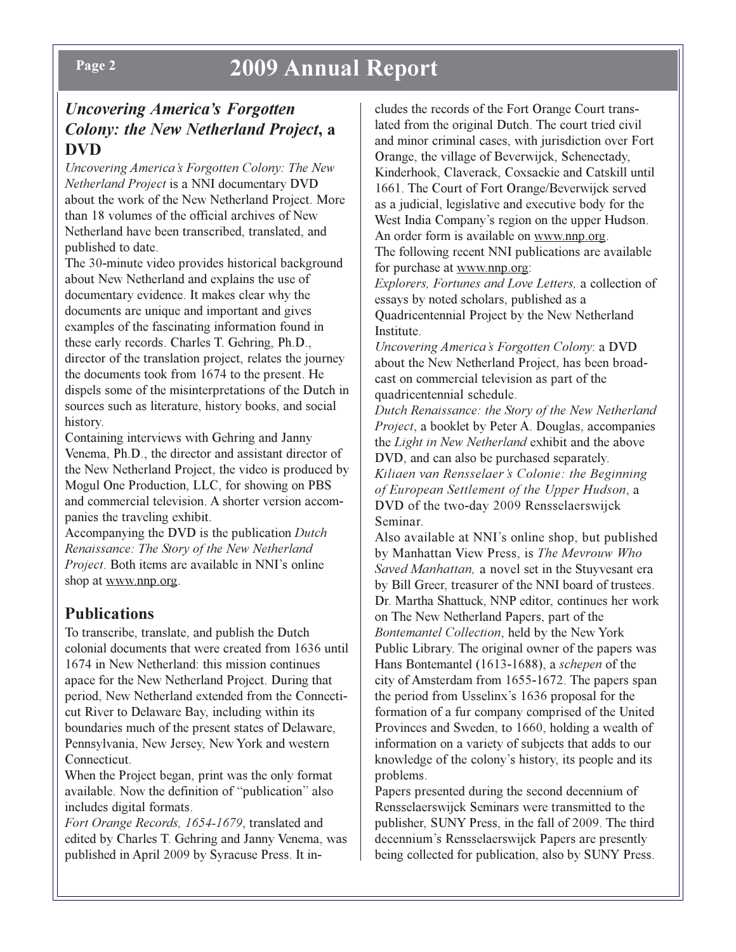### Page 2 2009 Annual Report

### Uncovering America's Forgotten Colony: the New Netherland Project, a DVD

Uncovering America's Forgotten Colony: The New Netherland Project is a NNI documentary DVD about the work of the New Netherland Project. More than 18 volumes of the official archives of New Netherland have been transcribed, translated, and published to date.

The 30-minute video provides historical background about New Netherland and explains the use of documentary evidence. It makes clear why the documents are unique and important and gives examples of the fascinating information found in these early records. Charles T. Gehring, Ph.D., director of the translation project, relates the journey the documents took from 1674 to the present. He dispels some of the misinterpretations of the Dutch in sources such as literature, history books, and social history.

Containing interviews with Gehring and Janny Venema, Ph.D., the director and assistant director of the New Netherland Project, the video is produced by Mogul One Production, LLC, for showing on PBS and commercial television. A shorter version accompanies the traveling exhibit.

Accompanying the DVD is the publication Dutch Renaissance: The Story of the New Netherland Project. Both items are available in NNI's online shop at www.nnp.org.

### Publications

To transcribe, translate, and publish the Dutch colonial documents that were created from 1636 until 1674 in New Netherland: this mission continues apace for the New Netherland Project. During that period, New Netherland extended from the Connecticut River to Delaware Bay, including within its boundaries much of the present states of Delaware, Pennsylvania, New Jersey, New York and western Connecticut.

When the Project began, print was the only format available. Now the definition of "publication" also includes digital formats.

Fort Orange Records, 1654-1679, translated and edited by Charles T. Gehring and Janny Venema, was published in April 2009 by Syracuse Press. It includes the records of the Fort Orange Court translated from the original Dutch. The court tried civil and minor criminal cases, with jurisdiction over Fort Orange, the village of Beverwijck, Schenectady, Kinderhook, Claverack, Coxsackie and Catskill until 1661. The Court of Fort Orange/Beverwijck served as a judicial, legislative and executive body for the West India Company's region on the upper Hudson. An order form is available on www.nnp.org. The following recent NNI publications are available

for purchase at www.nnp.org: Explorers, Fortunes and Love Letters, a collection of essays by noted scholars, published as a Quadricentennial Project by the New Netherland Institute.

Uncovering America's Forgotten Colony: a DVD about the New Netherland Project, has been broadcast on commercial television as part of the quadricentennial schedule.

Dutch Renaissance: the Story of the New Netherland Project, a booklet by Peter A. Douglas, accompanies the Light in New Netherland exhibit and the above DVD, and can also be purchased separately. Kiliaen van Rensselaer's Colonie: the Beginning of European Settlement of the Upper Hudson, a DVD of the two-day 2009 Rensselaerswijck Seminar.

Also available at NNI's online shop, but published by Manhattan View Press, is The Mevrouw Who Saved Manhattan, a novel set in the Stuyvesant era by Bill Greer, treasurer of the NNI board of trustees. Dr. Martha Shattuck, NNP editor, continues her work on The New Netherland Papers, part of the Bontemantel Collection, held by the New York Public Library. The original owner of the papers was Hans Bontemantel (1613-1688), a schepen of the city of Amsterdam from 1655-1672. The papers span the period from Usselinx's 1636 proposal for the formation of a fur company comprised of the United Provinces and Sweden, to 1660, holding a wealth of information on a variety of subjects that adds to our knowledge of the colony's history, its people and its problems.

Papers presented during the second decennium of Rensselaerswijck Seminars were transmitted to the publisher, SUNY Press, in the fall of 2009. The third decennium's Rensselaerswijck Papers are presently being collected for publication, also by SUNY Press.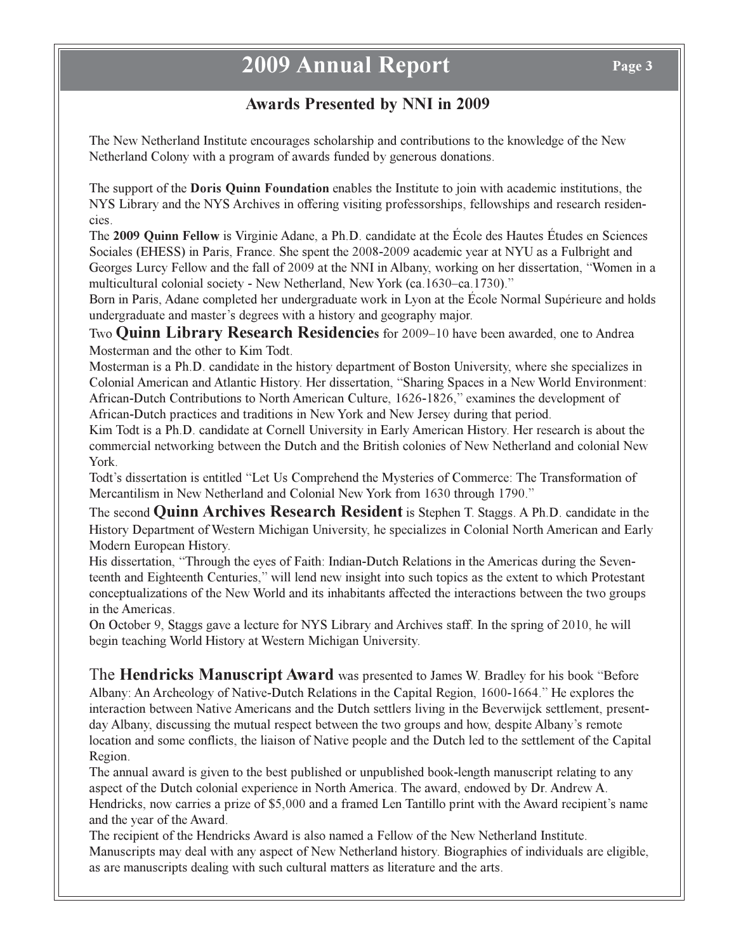## 2009 Annual Report Page 3

### Awards Presented by NNI in 2009

The New Netherland Institute encourages scholarship and contributions to the knowledge of the New Netherland Colony with a program of awards funded by generous donations.

The support of the Doris Quinn Foundation enables the Institute to join with academic institutions, the NYS Library and the NYS Archives in offering visiting professorships, fellowships and research residencies.

The 2009 Quinn Fellow is Virginie Adane, a Ph.D. candidate at the École des Hautes Études en Sciences Sociales (EHESS) in Paris, France. She spent the 2008-2009 academic year at NYU as a Fulbright and Georges Lurcy Fellow and the fall of 2009 at the NNI in Albany, working on her dissertation, "Women in a multicultural colonial society - New Netherland, New York (ca.1630–ca.1730)."

Born in Paris, Adane completed her undergraduate work in Lyon at the École Normal Supérieure and holds undergraduate and master's degrees with a history and geography major.

Two Quinn Library Research Residencies for 2009–10 have been awarded, one to Andrea Mosterman and the other to Kim Todt.

Mosterman is a Ph.D. candidate in the history department of Boston University, where she specializes in Colonial American and Atlantic History. Her dissertation, "Sharing Spaces in a New World Environment: African-Dutch Contributions to North American Culture, 1626-1826," examines the development of African-Dutch practices and traditions in New York and New Jersey during that period.

Kim Todt is a Ph.D. candidate at Cornell University in Early American History. Her research is about the commercial networking between the Dutch and the British colonies of New Netherland and colonial New York.

Todt's dissertation is entitled "Let Us Comprehend the Mysteries of Commerce: The Transformation of Mercantilism in New Netherland and Colonial New York from 1630 through 1790."

The second **Quinn Archives Research Resident** is Stephen T. Staggs. A Ph.D. candidate in the History Department of Western Michigan University, he specializes in Colonial North American and Early Modern European History.

His dissertation, "Through the eyes of Faith: Indian-Dutch Relations in the Americas during the Seventeenth and Eighteenth Centuries," will lend new insight into such topics as the extent to which Protestant conceptualizations of the New World and its inhabitants affected the interactions between the two groups in the Americas.

On October 9, Staggs gave a lecture for NYS Library and Archives staff. In the spring of 2010, he will begin teaching World History at Western Michigan University.

The Hendricks Manuscript Award was presented to James W. Bradley for his book "Before Albany: An Archeology of Native-Dutch Relations in the Capital Region, 1600-1664." He explores the interaction between Native Americans and the Dutch settlers living in the Beverwijck settlement, presentday Albany, discussing the mutual respect between the two groups and how, despite Albany's remote location and some conflicts, the liaison of Native people and the Dutch led to the settlement of the Capital Region.

The annual award is given to the best published or unpublished book-length manuscript relating to any aspect of the Dutch colonial experience in North America. The award, endowed by Dr. Andrew A. Hendricks, now carries a prize of \$5,000 and a framed Len Tantillo print with the Award recipient's name and the year of the Award.

The recipient of the Hendricks Award is also named a Fellow of the New Netherland Institute. Manuscripts may deal with any aspect of New Netherland history. Biographies of individuals are eligible, as are manuscripts dealing with such cultural matters as literature and the arts.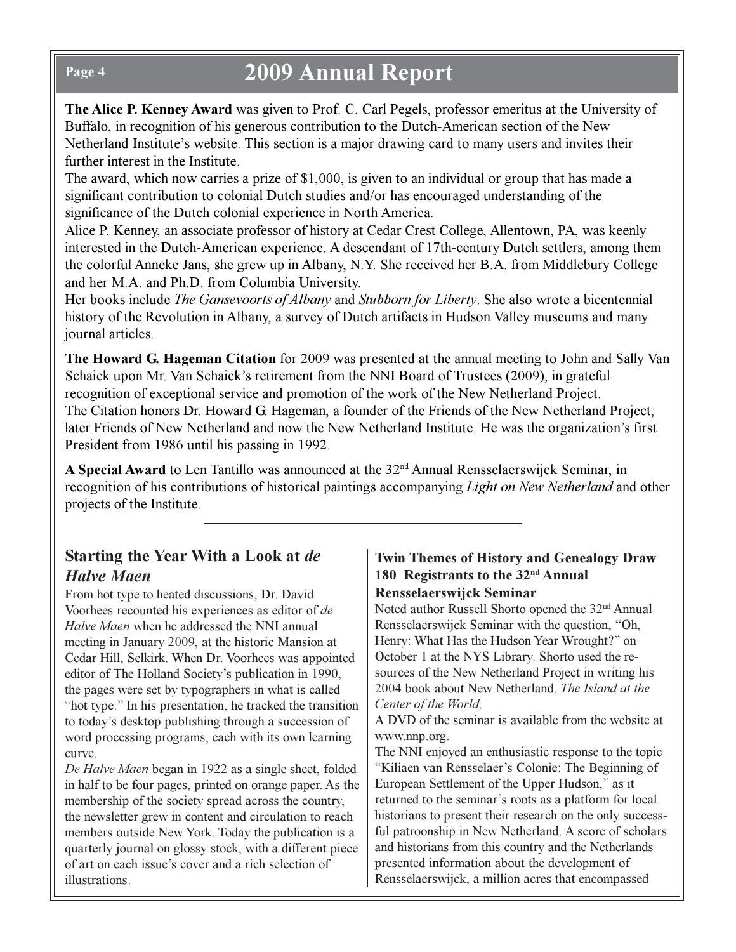### Page 4 2009 Annual Report

The Alice P. Kenney Award was given to Prof. C. Carl Pegels, professor emeritus at the University of Buffalo, in recognition of his generous contribution to the Dutch-American section of the New Netherland Institute's website. This section is a major drawing card to many users and invites their further interest in the Institute.

The award, which now carries a prize of \$1,000, is given to an individual or group that has made a significant contribution to colonial Dutch studies and/or has encouraged understanding of the significance of the Dutch colonial experience in North America.

Alice P. Kenney, an associate professor of history at Cedar Crest College, Allentown, PA, was keenly interested in the Dutch-American experience. A descendant of 17th-century Dutch settlers, among them the colorful Anneke Jans, she grew up in Albany, N.Y. She received her B.A. from Middlebury College and her M.A. and Ph.D. from Columbia University.

Her books include *The Gansevoorts of Albany* and *Stubborn for Liberty*. She also wrote a bicentennial history of the Revolution in Albany, a survey of Dutch artifacts in Hudson Valley museums and many journal articles.

The Howard G. Hageman Citation for 2009 was presented at the annual meeting to John and Sally Van Schaick upon Mr. Van Schaick's retirement from the NNI Board of Trustees (2009), in grateful recognition of exceptional service and promotion of the work of the New Netherland Project. The Citation honors Dr. Howard G. Hageman, a founder of the Friends of the New Netherland Project, later Friends of New Netherland and now the New Netherland Institute. He was the organization's first President from 1986 until his passing in 1992.

A Special Award to Len Tantillo was announced at the 32<sup>nd</sup> Annual Rensselaerswijck Seminar, in recognition of his contributions of historical paintings accompanying Light on New Netherland and other projects of the Institute.

### Starting the Year With a Look at de Halve Maen

From hot type to heated discussions, Dr. David Voorhees recounted his experiences as editor of de Halve Maen when he addressed the NNI annual meeting in January 2009, at the historic Mansion at Cedar Hill, Selkirk. When Dr. Voorhees was appointed editor of The Holland Society's publication in 1990, the pages were set by typographers in what is called "hot type." In his presentation, he tracked the transition to today's desktop publishing through a succession of word processing programs, each with its own learning curve.

De Halve Maen began in 1922 as a single sheet, folded in half to be four pages, printed on orange paper. As the membership of the society spread across the country, the newsletter grew in content and circulation to reach members outside New York. Today the publication is a quarterly journal on glossy stock, with a different piece of art on each issue's cover and a rich selection of illustrations.

#### Twin Themes of History and Genealogy Draw 180 Registrants to the 32nd Annual Rensselaerswijck Seminar

Noted author Russell Shorto opened the 32nd Annual Rensselaerswijck Seminar with the question, "Oh, Henry: What Has the Hudson Year Wrought?" on October 1 at the NYS Library. Shorto used the resources of the New Netherland Project in writing his 2004 book about New Netherland, The Island at the Center of the World.

A DVD of the seminar is available from the website at www.nnp.org.

The NNI enjoyed an enthusiastic response to the topic "Kiliaen van Rensselaer's Colonie: The Beginning of European Settlement of the Upper Hudson," as it returned to the seminar's roots as a platform for local historians to present their research on the only successful patroonship in New Netherland. A score of scholars and historians from this country and the Netherlands presented information about the development of Rensselaerswijck, a million acres that encompassed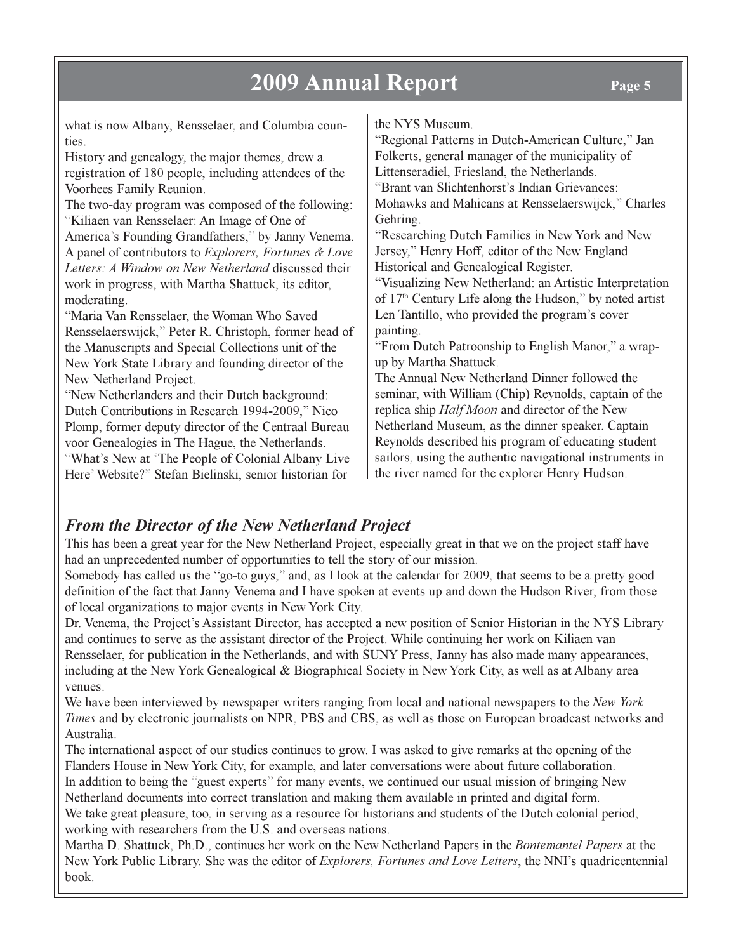## 2009 Annual Report Page 5

what is now Albany, Rensselaer, and Columbia counties.

History and genealogy, the major themes, drew a registration of 180 people, including attendees of the Voorhees Family Reunion.

The two-day program was composed of the following: "Kiliaen van Rensselaer: An Image of One of

America's Founding Grandfathers," by Janny Venema. A panel of contributors to Explorers, Fortunes & Love Letters: A Window on New Netherland discussed their work in progress, with Martha Shattuck, its editor, moderating.

"Maria Van Rensselaer, the Woman Who Saved Rensselaerswijck," Peter R. Christoph, former head of the Manuscripts and Special Collections unit of the New York State Library and founding director of the New Netherland Project.

"New Netherlanders and their Dutch background: Dutch Contributions in Research 1994-2009," Nico Plomp, former deputy director of the Centraal Bureau voor Genealogies in The Hague, the Netherlands.

"What's New at 'The People of Colonial Albany Live Here' Website?" Stefan Bielinski, senior historian for

the NYS Museum.

"Regional Patterns in Dutch-American Culture," Jan Folkerts, general manager of the municipality of Littenseradiel, Friesland, the Netherlands. "Brant van Slichtenhorst's Indian Grievances: Mohawks and Mahicans at Rensselaerswijck," Charles Gehring. "Researching Dutch Families in New York and New Jersey," Henry Hoff, editor of the New England Historical and Genealogical Register. "Visualizing New Netherland: an Artistic Interpretation of  $17<sup>th</sup>$  Century Life along the Hudson," by noted artist Len Tantillo, who provided the program's cover painting. "From Dutch Patroonship to English Manor," a wrapup by Martha Shattuck. The Annual New Netherland Dinner followed the

seminar, with William (Chip) Reynolds, captain of the replica ship Half Moon and director of the New Netherland Museum, as the dinner speaker. Captain Reynolds described his program of educating student sailors, using the authentic navigational instruments in the river named for the explorer Henry Hudson.

### From the Director of the New Netherland Project

This has been a great year for the New Netherland Project, especially great in that we on the project staff have had an unprecedented number of opportunities to tell the story of our mission.

Somebody has called us the "go-to guys," and, as I look at the calendar for 2009, that seems to be a pretty good definition of the fact that Janny Venema and I have spoken at events up and down the Hudson River, from those of local organizations to major events in New York City.

Dr. Venema, the Project's Assistant Director, has accepted a new position of Senior Historian in the NYS Library and continues to serve as the assistant director of the Project. While continuing her work on Kiliaen van Rensselaer, for publication in the Netherlands, and with SUNY Press, Janny has also made many appearances, including at the New York Genealogical & Biographical Society in New York City, as well as at Albany area venues.

We have been interviewed by newspaper writers ranging from local and national newspapers to the New York Times and by electronic journalists on NPR, PBS and CBS, as well as those on European broadcast networks and Australia.

The international aspect of our studies continues to grow. I was asked to give remarks at the opening of the Flanders House in New York City, for example, and later conversations were about future collaboration. In addition to being the "guest experts" for many events, we continued our usual mission of bringing New Netherland documents into correct translation and making them available in printed and digital form. We take great pleasure, too, in serving as a resource for historians and students of the Dutch colonial period, working with researchers from the U.S. and overseas nations.

Martha D. Shattuck, Ph.D., continues her work on the New Netherland Papers in the Bontemantel Papers at the New York Public Library. She was the editor of *Explorers, Fortunes and Love Letters*, the NNI's quadricentennial book.